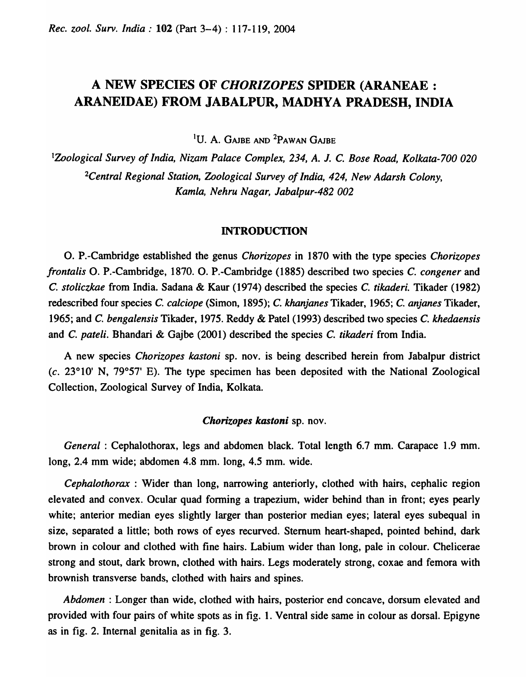# A NEW SPECIES OF *CHORIZOPES* SPIDER (ARANEAE : ARANEIDAE) FROM JABALPUR, MADHYA PRADESH, INDIA

<sup>1</sup>U. A. GAJBE AND <sup>2</sup>PAWAN GAJBE

*lZoological Survey of India, Nizam Palace Complex,* 234, *A.* J. C. *Bose Road, Kolkata-700 020 2Central Regional Station, Zoological Survey of India,* 424, *New Adarsh Colony, Kamla, Nehru Nagar, labalpur-482 002* 

## INTRODUCTION

O. P.-Cambridge established the genus *Chorizopes* in 1870 with the type species *Chorizopes frontalis* O. P.-Cambridge, 1870. O. P.-Cambridge (1885) described two species C. *congener* and C. *stoliczkae* from India. Sadana & Kaur (1974) described the species C. *tikaderi.* Tikader (1982) redescribed four species C. *calciope* (Simon, 1895); C. *khanjanes* Tikader, 1965; C. *anjanes* Tikader, 1965; and C. *bengalensis* Tikader, 1975. Reddy & Patel (1993) described two species C. *khedaensis*  and C. *pateli.* Bhandari & Gajbe (2001) described the species C. *tikaderi* from India.

A new species *Chorizopes kastoni* sp. nov. is being described herein from Jabalpur district (c. 23°10' N, 79°57' E). The type specimen has been deposited with the National Zoological Collection, Zoological Survey of India, Kolkata.

#### *Chorizopes kastoni* sp. nov.

*General:* Cephalothorax, legs and abdomen black. Total length 6.7 mm. Carapace 1.9 mm. long, 2.4 mm wide; abdomen 4.8 mm. long, 4.5 mm. wide.

*Cephalothorax* : Wider than long, narrowing anteriorly, clothed with hairs, cephalic region elevated and convex. Ocular quad fonning a trapezium, wider behind than in front; eyes pearly white; anterior median eyes slightly larger than posterior median eyes; lateral eyes subequal in size, separated a little; both rows of eyes recurved. Sternum heart-shaped, pointed behind, dark brown in colour and clothed with fine hairs. Labium wider than long, pale in colour. Chelicerae strong and stout, dark brown, clothed with hairs. Legs moderately strong, coxae and femora with brownish transverse bands, clothed with hairs and spines.

*Abdomen* : Longer than wide, clothed with hairs, posterior end concave, dorsum elevated and provided with four pairs of white spots as in fig. 1. Ventral side same in colour as dorsal. Epigyne as in fig. 2. Internal genitalia as in fig. 3.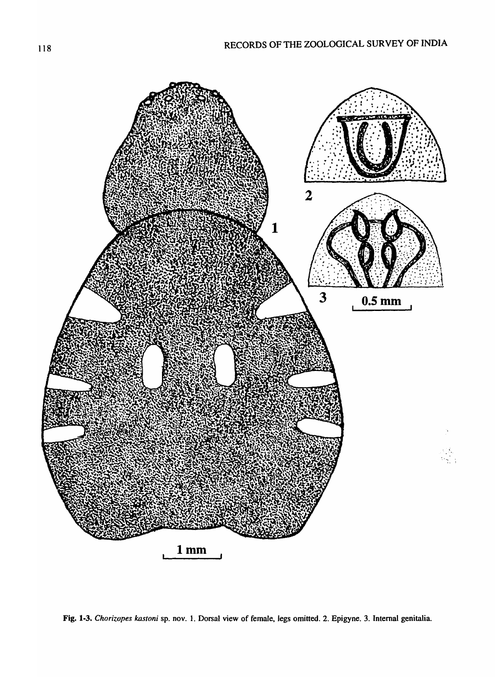

Fig. 1-3. Chorizopes kastoni sp. nov. 1. Dorsal view of female, legs omitted. 2. Epigyne. 3. Internal genitalia.